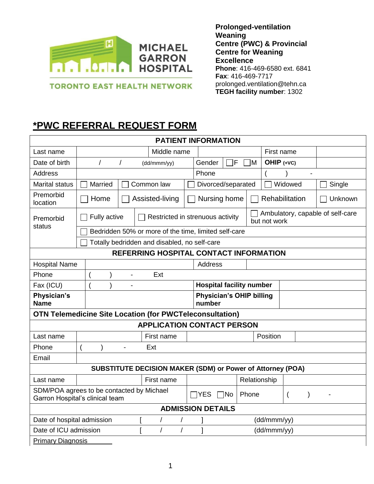

**TORONTO EAST HEALTH NETWORK** 

**Prolonged-ventilation Weaning Centre (PWC) & Provincial Centre for Weaning Excellence Phone**: 416-469-6580 ext. 6841 **Fax**: 416-469-7717 [prolonged.ventilation@tehn.ca](mailto:prolonged.ventilation@tehn.ca) **TEGH facility number**: 1302

## **\*PWC REFERRAL REQUEST FORM**

| <b>PATIENT INFORMATION</b>                                                                                                                    |                                                                |  |                                              |                                  |                |                                                  |         |        |  |
|-----------------------------------------------------------------------------------------------------------------------------------------------|----------------------------------------------------------------|--|----------------------------------------------|----------------------------------|----------------|--------------------------------------------------|---------|--------|--|
| Last name                                                                                                                                     | Middle name                                                    |  |                                              | First name                       |                |                                                  |         |        |  |
| Date of birth                                                                                                                                 | $\prime$<br>$\sqrt{2}$<br>(dd/mmm/yy)                          |  |                                              | lF<br>٦м<br>OHIP (+VC)<br>Gender |                |                                                  |         |        |  |
| <b>Address</b>                                                                                                                                | Phone<br>$\overline{a}$                                        |  |                                              |                                  |                |                                                  |         |        |  |
| <b>Marital status</b>                                                                                                                         | Married<br>Common law                                          |  |                                              | Divorced/separated               |                |                                                  | Widowed | Single |  |
| Premorbid<br>location                                                                                                                         | Nursing home<br>Rehabilitation<br>Home<br>Assisted-living      |  |                                              | Unknown                          |                |                                                  |         |        |  |
| Premorbid                                                                                                                                     | Restricted in strenuous activity<br>Fully active               |  |                                              |                                  |                | Ambulatory, capable of self-care<br>but not work |         |        |  |
|                                                                                                                                               | status<br>Bedridden 50% or more of the time, limited self-care |  |                                              |                                  |                |                                                  |         |        |  |
|                                                                                                                                               |                                                                |  | Totally bedridden and disabled, no self-care |                                  |                |                                                  |         |        |  |
| <b>REFERRING HOSPITAL CONTACT INFORMATION</b>                                                                                                 |                                                                |  |                                              |                                  |                |                                                  |         |        |  |
| <b>Hospital Name</b>                                                                                                                          |                                                                |  |                                              |                                  | <b>Address</b> |                                                  |         |        |  |
| Phone<br>Ext<br>$\qquad \qquad \blacksquare$                                                                                                  |                                                                |  |                                              |                                  |                |                                                  |         |        |  |
| <b>Hospital facility number</b><br>Fax (ICU)                                                                                                  |                                                                |  |                                              |                                  |                |                                                  |         |        |  |
| Physician's<br><b>Physician's OHIP billing</b><br><b>Name</b><br>number                                                                       |                                                                |  |                                              |                                  |                |                                                  |         |        |  |
| <b>OTN Telemedicine Site Location (for PWCTeleconsultation)</b>                                                                               |                                                                |  |                                              |                                  |                |                                                  |         |        |  |
| <b>APPLICATION CONTACT PERSON</b>                                                                                                             |                                                                |  |                                              |                                  |                |                                                  |         |        |  |
| Last name                                                                                                                                     | First name                                                     |  |                                              | Position                         |                |                                                  |         |        |  |
| Phone                                                                                                                                         | Ext<br>$\blacksquare$                                          |  |                                              |                                  |                |                                                  |         |        |  |
| Email                                                                                                                                         |                                                                |  |                                              |                                  |                |                                                  |         |        |  |
| <b>SUBSTITUTE DECISION MAKER (SDM) or Power of Attorney (POA)</b>                                                                             |                                                                |  |                                              |                                  |                |                                                  |         |        |  |
| Last name                                                                                                                                     | First name                                                     |  |                                              | Relationship                     |                |                                                  |         |        |  |
| SDM/POA agrees to be contacted by Michael<br>Phone<br>$\Box$ YES<br>7No<br>$\overline{ }$<br>$\mathcal{E}$<br>Garron Hospital's clinical team |                                                                |  |                                              |                                  |                |                                                  |         |        |  |
| <b>ADMISSION DETAILS</b>                                                                                                                      |                                                                |  |                                              |                                  |                |                                                  |         |        |  |
| Date of hospital admission<br>(dd/mmm/yy)                                                                                                     |                                                                |  |                                              |                                  |                |                                                  |         |        |  |
| Date of ICU admission<br>(dd/mmm/yy)<br>$\prime$                                                                                              |                                                                |  |                                              |                                  |                |                                                  |         |        |  |
| <b>Primary Diagnosis</b>                                                                                                                      |                                                                |  |                                              |                                  |                |                                                  |         |        |  |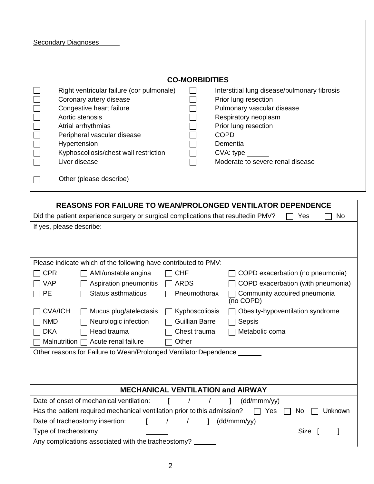**Secondary Diagnoses** 

| <b>CO-MORBIDITIES</b> |                                           |  |                                              |  |  |
|-----------------------|-------------------------------------------|--|----------------------------------------------|--|--|
|                       | Right ventricular failure (cor pulmonale) |  | Interstitial lung disease/pulmonary fibrosis |  |  |
|                       | Coronary artery disease                   |  | Prior lung resection                         |  |  |
|                       | Congestive heart failure                  |  | Pulmonary vascular disease                   |  |  |
|                       | Aortic stenosis                           |  | Respiratory neoplasm                         |  |  |
|                       | Atrial arrhythmias                        |  | Prior lung resection                         |  |  |
|                       | Peripheral vascular disease               |  | <b>COPD</b>                                  |  |  |
|                       | Hypertension                              |  | Dementia                                     |  |  |
|                       | Kyphoscoliosis/chest wall restriction     |  | $CVA: type \_$                               |  |  |
|                       | Liver disease                             |  | Moderate to severe renal disease             |  |  |
|                       | Other (please describe)                   |  |                                              |  |  |

| <b>REASONS FOR FAILURE TO WEAN/PROLONGED VENTILATOR DEPENDENCE</b>                                |                       |                                           |  |  |  |  |
|---------------------------------------------------------------------------------------------------|-----------------------|-------------------------------------------|--|--|--|--|
| Did the patient experience surgery or surgical complications that resulted in PMV?<br>Yes<br>No   |                       |                                           |  |  |  |  |
| If yes, please describe:                                                                          |                       |                                           |  |  |  |  |
|                                                                                                   |                       |                                           |  |  |  |  |
|                                                                                                   |                       |                                           |  |  |  |  |
| Please indicate which of the following have contributed to PMV:                                   |                       |                                           |  |  |  |  |
| <b>CPR</b><br>AMI/unstable angina                                                                 | <b>CHF</b>            | COPD exacerbation (no pneumonia)          |  |  |  |  |
| <b>VAP</b><br>Aspiration pneumonitis                                                              | <b>ARDS</b>           | COPD exacerbation (with pneumonia)        |  |  |  |  |
| <b>Status asthmaticus</b><br><b>PE</b>                                                            | Pneumothorax          | Community acquired pneumonia<br>(no COPD) |  |  |  |  |
| <b>CVA/ICH</b><br>Mucus plug/atelectasis                                                          | Kyphoscoliosis        | Obesity-hypoventilation syndrome          |  |  |  |  |
| Neurologic infection<br><b>NMD</b>                                                                | <b>Guillian Barre</b> | Sepsis                                    |  |  |  |  |
| <b>DKA</b><br>Head trauma<br>Chest trauma<br>Metabolic coma                                       |                       |                                           |  |  |  |  |
| Acute renal failure<br>Other<br>Malnutrition [                                                    |                       |                                           |  |  |  |  |
| Other reasons for Failure to Wean/Prolonged Ventilator Dependence ____                            |                       |                                           |  |  |  |  |
|                                                                                                   |                       |                                           |  |  |  |  |
|                                                                                                   |                       |                                           |  |  |  |  |
| <b>MECHANICAL VENTILATION and AIRWAY</b>                                                          |                       |                                           |  |  |  |  |
| Date of onset of mechanical ventilation:<br>(dd/mmm/yy)                                           |                       |                                           |  |  |  |  |
| Has the patient required mechanical ventilation prior to this admission?<br>Yes<br>Unknown<br>No. |                       |                                           |  |  |  |  |
| Date of tracheostomy insertion:<br>$\sqrt{ }$<br>(dd/mmm/yy)<br>$\mathbf{r}$<br>$\mathbf{1}$      |                       |                                           |  |  |  |  |
| <b>Size</b><br>Type of tracheostomy                                                               |                       |                                           |  |  |  |  |
| Any complications associated with the tracheostomy?                                               |                       |                                           |  |  |  |  |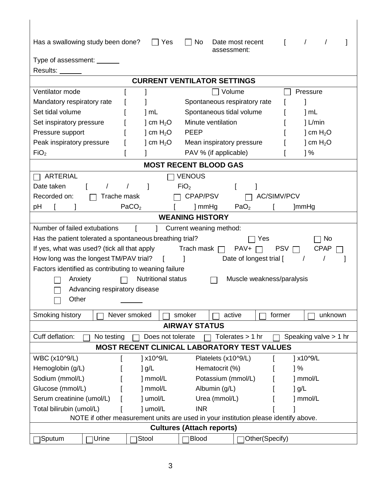| Has a swallowing study been done?                                                                                       | Yes                                | No<br>Date most recent<br>assessment: | $\prime$           |  |  |  |  |
|-------------------------------------------------------------------------------------------------------------------------|------------------------------------|---------------------------------------|--------------------|--|--|--|--|
| Type of assessment: ______                                                                                              |                                    |                                       |                    |  |  |  |  |
| Results:                                                                                                                |                                    |                                       |                    |  |  |  |  |
|                                                                                                                         | <b>CURRENT VENTILATOR SETTINGS</b> |                                       |                    |  |  |  |  |
| Ventilator mode                                                                                                         |                                    | Volume                                | Pressure           |  |  |  |  |
| Mandatory respiratory rate                                                                                              |                                    | Spontaneous respiratory rate          |                    |  |  |  |  |
| Set tidal volume                                                                                                        | 1 mL                               | Spontaneous tidal volume              | ] mL               |  |  |  |  |
| Set inspiratory pressure                                                                                                | ] cm $H_2O$                        | Minute ventilation                    | $l$ L/min          |  |  |  |  |
| Pressure support                                                                                                        | ] cm $H_2O$                        |                                       | ] cm $H_2O$        |  |  |  |  |
| <b>PEEP</b><br>Peak inspiratory pressure<br>] cm $H_2O$                                                                 |                                    | Mean inspiratory pressure             | ] cm $H_2O$        |  |  |  |  |
| FiO <sub>2</sub>                                                                                                        |                                    | PAV % (if applicable)                 | $\frac{1}{6}$      |  |  |  |  |
|                                                                                                                         |                                    | <b>MOST RECENT BLOOD GAS</b>          |                    |  |  |  |  |
| <b>ARTERIAL</b>                                                                                                         |                                    | <b>VENOUS</b>                         |                    |  |  |  |  |
| Date taken                                                                                                              |                                    | FiO <sub>2</sub>                      |                    |  |  |  |  |
| Recorded on:<br>Trache mask                                                                                             |                                    | CPAP/PSV                              | <b>AC/SIMV/PCV</b> |  |  |  |  |
| рH                                                                                                                      | PaCO <sub>2</sub>                  | ] mmHg<br>PaO <sub>2</sub>            | ]mmHg              |  |  |  |  |
| <b>WEANING HISTORY</b>                                                                                                  |                                    |                                       |                    |  |  |  |  |
| Number of failed extubations<br>[ ] Current weaning method:                                                             |                                    |                                       |                    |  |  |  |  |
| Has the patient tolerated a spontaneous breathing trial?<br><b>No</b><br>Yes                                            |                                    |                                       |                    |  |  |  |  |
| If yes, what was used? (tick all that apply<br>Trach mask $\Box$ PAV+<br>$PSV \square$<br><b>CPAP</b><br>$\perp$        |                                    |                                       |                    |  |  |  |  |
| How long was the longest TM/PAV trial?<br>Date of longest trial [<br>$\prime$                                           |                                    |                                       |                    |  |  |  |  |
| Factors identified as contributing to weaning failure                                                                   |                                    |                                       |                    |  |  |  |  |
| <b>Nutritional status</b><br>Muscle weakness/paralysis<br>Anxiety                                                       |                                    |                                       |                    |  |  |  |  |
| Advancing respiratory disease                                                                                           |                                    |                                       |                    |  |  |  |  |
| Other                                                                                                                   |                                    |                                       |                    |  |  |  |  |
|                                                                                                                         |                                    |                                       |                    |  |  |  |  |
| Smoking history                                                                                                         | Never smoked                       | smoker<br>active                      | unknown<br>former  |  |  |  |  |
| <b>AIRWAY STATUS</b>                                                                                                    |                                    |                                       |                    |  |  |  |  |
| Speaking valve $> 1$ hr<br>Cuff deflation:<br>Does not tolerate<br>Tolerates $> 1$ hr<br>No testing                     |                                    |                                       |                    |  |  |  |  |
| <b>MOST RECENT CLINICAL LABORATORY TEST VALUES</b>                                                                      |                                    |                                       |                    |  |  |  |  |
| WBC (x10^9/L)                                                                                                           | ] x10^9/L                          | Platelets (x10^9/L)                   | ] x10^9/L          |  |  |  |  |
| Hemoglobin (g/L)                                                                                                        | $\log/L$                           | Hematocrit (%)                        | 1%                 |  |  |  |  |
| Sodium (mmol/L)                                                                                                         | ] mmol/L                           | Potassium (mmol/L)                    | ] mmol/L           |  |  |  |  |
| Glucose (mmol/L)                                                                                                        | ] mmol/L                           | Albumin (g/L)                         | $]$ g/L            |  |  |  |  |
| Serum creatinine (umol/L)                                                                                               | ] umol/L                           | Urea (mmol/L)                         | ] mmol/L           |  |  |  |  |
| Total bilirubin (umol/L)<br>] umol/L<br><b>INR</b>                                                                      |                                    |                                       |                    |  |  |  |  |
| NOTE if other measurement units are used in your institution please identify above.<br><b>Cultures (Attach reports)</b> |                                    |                                       |                    |  |  |  |  |
|                                                                                                                         |                                    |                                       |                    |  |  |  |  |
| Urine<br>Sputum                                                                                                         | Stool                              | <b>Blood</b><br>Other(Specify)        |                    |  |  |  |  |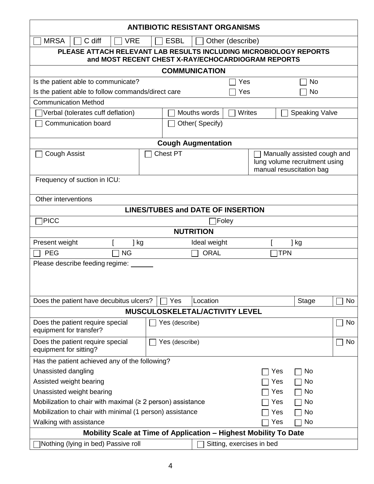| <b>ANTIBIOTIC RESISTANT ORGANISMS</b>                                                                                   |                                 |                                          |                           |        |                                                              |                          |    |
|-------------------------------------------------------------------------------------------------------------------------|---------------------------------|------------------------------------------|---------------------------|--------|--------------------------------------------------------------|--------------------------|----|
| <b>MRSA</b><br>C diff<br><b>ESBL</b><br><b>VRE</b><br>Other (describe)                                                  |                                 |                                          |                           |        |                                                              |                          |    |
| PLEASE ATTACH RELEVANT LAB RESULTS INCLUDING MICROBIOLOGY REPORTS<br>and MOST RECENT CHEST X-RAY/ECHOCARDIOGRAM REPORTS |                                 |                                          |                           |        |                                                              |                          |    |
|                                                                                                                         |                                 |                                          | <b>COMMUNICATION</b>      |        |                                                              |                          |    |
| Is the patient able to communicate?                                                                                     |                                 |                                          |                           | Yes    |                                                              | <b>No</b>                |    |
| Is the patient able to follow commands/direct care                                                                      |                                 |                                          |                           | Yes    |                                                              | No                       |    |
| <b>Communication Method</b>                                                                                             |                                 |                                          |                           |        |                                                              |                          |    |
| Verbal (tolerates cuff deflation)                                                                                       |                                 |                                          | Mouths words              | Writes |                                                              | <b>Speaking Valve</b>    |    |
| Communication board<br>Other(Specify)                                                                                   |                                 |                                          |                           |        |                                                              |                          |    |
|                                                                                                                         |                                 |                                          | <b>Cough Augmentation</b> |        |                                                              |                          |    |
| Cough Assist                                                                                                            | <b>Chest PT</b>                 |                                          |                           |        | Manually assisted cough and<br>lung volume recruitment using |                          |    |
| Frequency of suction in ICU:                                                                                            |                                 |                                          |                           |        |                                                              | manual resuscitation bag |    |
| Other interventions                                                                                                     |                                 |                                          |                           |        |                                                              |                          |    |
|                                                                                                                         |                                 | <b>LINES/TUBES and DATE OF INSERTION</b> |                           |        |                                                              |                          |    |
| <b>PICC</b>                                                                                                             |                                 |                                          |                           | Foley  |                                                              |                          |    |
|                                                                                                                         |                                 |                                          | <b>NUTRITION</b>          |        |                                                              |                          |    |
| Present weight                                                                                                          | ] kg                            |                                          | Ideal weight              |        |                                                              | ] kg                     |    |
| <b>PEG</b>                                                                                                              | <b>NG</b>                       |                                          | <b>ORAL</b>               |        |                                                              | <b>TPN</b>               |    |
|                                                                                                                         | Please describe feeding regime: |                                          |                           |        |                                                              |                          |    |
|                                                                                                                         |                                 |                                          |                           |        |                                                              |                          |    |
|                                                                                                                         |                                 |                                          |                           |        |                                                              |                          |    |
|                                                                                                                         |                                 | Yes                                      | Location                  |        |                                                              |                          | No |
| Does the patient have decubitus ulcers?<br>Stage<br>MUSCULOSKELETAL/ACTIVITY LEVEL                                      |                                 |                                          |                           |        |                                                              |                          |    |
|                                                                                                                         |                                 |                                          |                           |        |                                                              |                          |    |
| Does the patient require special<br>equipment for transfer?                                                             |                                 | Yes (describe)                           |                           |        |                                                              |                          | No |
| Does the patient require special<br>equipment for sitting?                                                              |                                 | Yes (describe)                           |                           |        |                                                              | No                       |    |
| Has the patient achieved any of the following?                                                                          |                                 |                                          |                           |        |                                                              |                          |    |
| Unassisted dangling<br>No<br>Yes                                                                                        |                                 |                                          |                           |        |                                                              |                          |    |
| Assisted weight bearing                                                                                                 |                                 |                                          | Yes                       | No     |                                                              |                          |    |
| Unassisted weight bearing<br>Yes<br>No                                                                                  |                                 |                                          |                           |        |                                                              |                          |    |
| Mobilization to chair with maximal $(≥ 2$ person) assistance<br>No<br>Yes                                               |                                 |                                          |                           |        |                                                              |                          |    |
| Mobilization to chair with minimal (1 person) assistance<br>No<br>Yes                                                   |                                 |                                          |                           |        |                                                              |                          |    |
| Walking with assistance<br>No<br>Yes                                                                                    |                                 |                                          |                           |        |                                                              |                          |    |
| Mobility Scale at Time of Application - Highest Mobility To Date                                                        |                                 |                                          |                           |        |                                                              |                          |    |
| Nothing (lying in bed) Passive roll<br>Sitting, exercises in bed                                                        |                                 |                                          |                           |        |                                                              |                          |    |